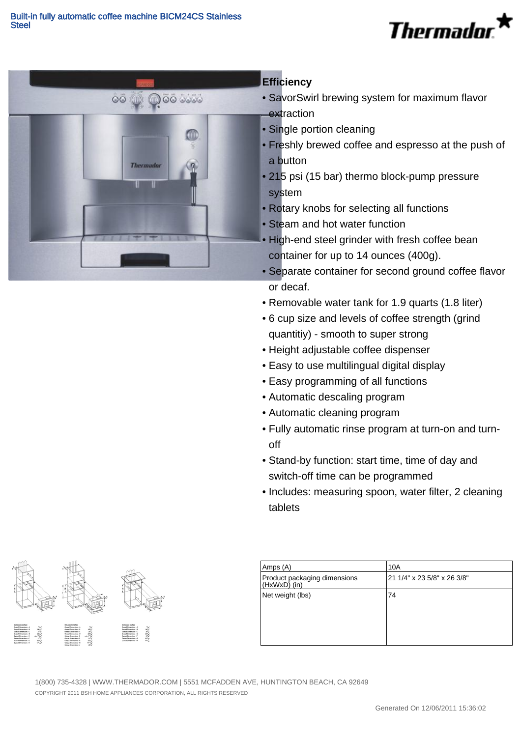



## **Efficiency**

- SavorSwirl brewing system for maximum flavor extraction
- Single portion cleaning
- Freshly brewed coffee and espresso at the push of a button
- 215 psi (15 bar) thermo block-pump pressure system
- Rotary knobs for selecting all functions
- Steam and hot water function
- High-end steel grinder with fresh coffee bean container for up to 14 ounces (400g).
- Separate container for second ground coffee flavor or decaf.
- Removable water tank for 1.9 quarts (1.8 liter)
- 6 cup size and levels of coffee strength (grind quantitiy) - smooth to super strong
- Height adjustable coffee dispenser
- Easy to use multilingual digital display
- Easy programming of all functions
- Automatic descaling program
- Automatic cleaning program
- Fully automatic rinse program at turn-on and turn-• off
- Stand-by function: start time, time of day and switch-off time can be programmed
- Includes: measuring spoon, water filter, 2 cleaning tablets



| Amps (A)                                     | 10A                         |
|----------------------------------------------|-----------------------------|
| Product packaging dimensions<br>(HxWxD) (in) | 21 1/4" x 23 5/8" x 26 3/8" |
| Net weight (lbs)                             | 74                          |

COPYRIGHT 2011 BSH HOME APPLIANCES CORPORATION, ALL RIGHTS RESERVED 1(800) 735-4328 | WWW.THERMADOR.COM | 5551 MCFADDEN AVE, HUNTINGTON BEACH, CA 92649